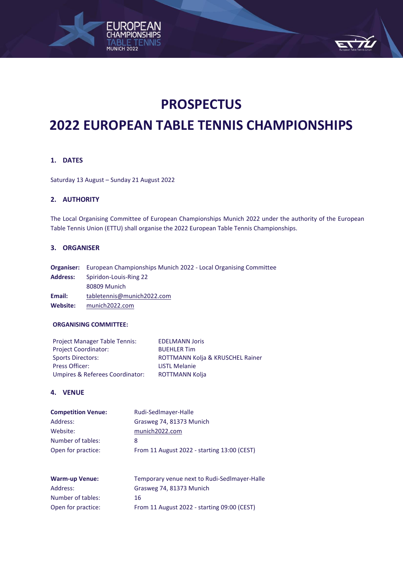

# **2022 EUROPEAN TABLE TENNIS CHAMPIONSHIPS**

# **1. DATES**

Saturday 13 August – Sunday 21 August 2022

MUNICH 2022

# **2. AUTHORITY**

The Local Organising Committee of European Championships Munich 2022 under the authority of the European Table Tennis Union (ETTU) shall organise the 2022 European Table Tennis Championships.

#### **3. ORGANISER**

**Organiser:** European Championships Munich 2022 - Local Organising Committee **Address:** Spiridon-Louis-Ring 22 80809 Munich **Email:** [tabletennis@munich2022.com](mailto:tabletennis@munich2022.com) **Website:** [munich2022.com](https://www.munich2022.com/)

# **ORGANISING COMMITTEE:**

| <b>Project Manager Table Tennis:</b> | <b>EDELMANN Joris</b>            |
|--------------------------------------|----------------------------------|
| <b>Project Coordinator:</b>          | <b>BUEHLER Tim</b>               |
| <b>Sports Directors:</b>             | ROTTMANN Kolja & KRUSCHEL Rainer |
| Press Officer:                       | <b>LISTL Melanie</b>             |
| Umpires & Referees Coordinator:      | <b>ROTTMANN Kolia</b>            |

# **4. VENUE**

| <b>Competition Venue:</b> | Rudi-SedImayer-Halle                        |
|---------------------------|---------------------------------------------|
| Address:                  | Grasweg 74, 81373 Munich                    |
| Website:                  | munich2022.com                              |
| Number of tables:         | 8                                           |
| Open for practice:        | From 11 August 2022 - starting 13:00 (CEST) |

| <b>Warm-up Venue:</b> | Temporary venue next to Rudi-Sedlmayer-Halle |
|-----------------------|----------------------------------------------|
| Address:              | Grasweg 74, 81373 Munich                     |
| Number of tables:     | 16                                           |
| Open for practice:    | From 11 August 2022 - starting 09:00 (CEST)  |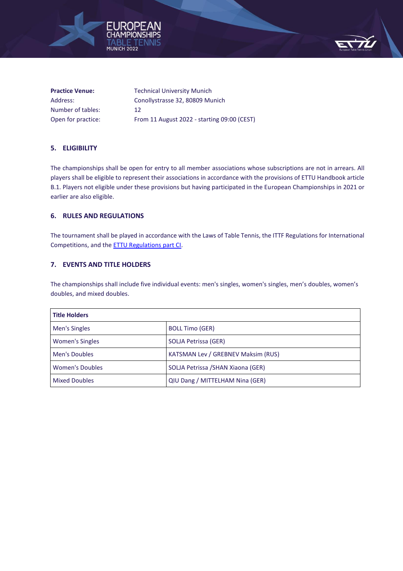



| <b>Practice Venue:</b> | <b>Technical University Munich</b>          |
|------------------------|---------------------------------------------|
| Address:               | Conollystrasse 32, 80809 Munich             |
| Number of tables:      | 12                                          |
| Open for practice:     | From 11 August 2022 - starting 09:00 (CEST) |

# **5. ELIGIBILITY**

The championships shall be open for entry to all member associations whose subscriptions are not in arrears. All players shall be eligible to represent their associations in accordance with the provisions of ETTU Handbook article B.1. Players not eligible under these provisions but having participated in the European Championships in 2021 or earlier are also eligible.

# **6. RULES AND REGULATIONS**

The tournament shall be played in accordance with the Laws of Table Tennis, the ITTF Regulations for International Competitions, and th[e ETTU Regulations part CI.](https://www.ettu.org/?proxy=redaktion/About%20ETTU/ETTU-HANDBOOK-1-1-2020.pdf)

# **7. EVENTS AND TITLE HOLDERS**

The championships shall include five individual events: men's singles, women's singles, men's doubles, women's doubles, and mixed doubles.

| <b>Title Holders</b>   |                                    |
|------------------------|------------------------------------|
| Men's Singles          | <b>BOLL Timo (GER)</b>             |
| <b>Women's Singles</b> | SOLJA Petrissa (GER)               |
| Men's Doubles          | KATSMAN Lev / GREBNEV Maksim (RUS) |
| <b>Women's Doubles</b> | SOLJA Petrissa / SHAN Xiaona (GER) |
| <b>Mixed Doubles</b>   | QIU Dang / MITTELHAM Nina (GER)    |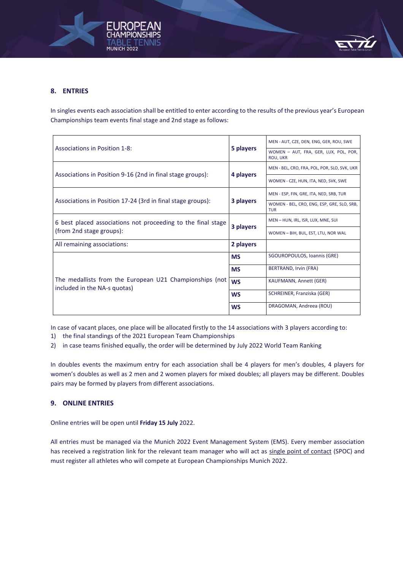



# **8. ENTRIES**

In singles events each association shall be entitled to enter according to the results of the previous year's European Championships team events final stage and 2nd stage as follows:

|                                                                                         |           | MEN - AUT, CZE, DEN, ENG, GER, ROU, SWE                  |
|-----------------------------------------------------------------------------------------|-----------|----------------------------------------------------------|
| <b>Associations in Position 1-8:</b>                                                    | 5 players | WOMEN - AUT, FRA, GER, LUX, POL, POR,<br><b>ROU, UKR</b> |
|                                                                                         |           | MEN - BEL, CRO, FRA, POL, POR, SLO, SVK, UKR             |
| Associations in Position 9-16 (2nd in final stage groups):                              | 4 players | WOMEN - CZE, HUN, ITA, NED, SVK, SWE                     |
|                                                                                         |           | MEN - ESP, FIN, GRE, ITA, NED, SRB, TUR                  |
| Associations in Position 17-24 (3rd in final stage groups):                             | 3 players | WOMEN - BEL, CRO, ENG, ESP, GRE, SLO, SRB,<br><b>TUR</b> |
| 6 best placed associations not proceeding to the final stage                            |           | MEN - HUN, IRL, ISR, LUX, MNE, SUI                       |
| (from 2nd stage groups):                                                                | 3 players | WOMEN - BIH, BUL, EST, LTU, NOR WAL                      |
| All remaining associations:                                                             | 2 players |                                                          |
|                                                                                         | <b>MS</b> | SGOUROPOULOS, Ioannis (GRE)                              |
|                                                                                         | <b>MS</b> | BERTRAND, Irvin (FRA)                                    |
| The medallists from the European U21 Championships (not<br>included in the NA-s quotas) | <b>WS</b> | KAUFMANN, Annett (GER)                                   |
|                                                                                         | <b>WS</b> | SCHREINER, Franziska (GER)                               |
|                                                                                         | <b>WS</b> | DRAGOMAN, Andreea (ROU)                                  |

In case of vacant places, one place will be allocated firstly to the 14 associations with 3 players according to:

1) the final standings of the 2021 European Team Championships

2) in case teams finished equally, the order will be determined by July 2022 World Team Ranking

In doubles events the maximum entry for each association shall be 4 players for men's doubles, 4 players for women's doubles as well as 2 men and 2 women players for mixed doubles; all players may be different. Doubles pairs may be formed by players from different associations.

# **9. ONLINE ENTRIES**

Online entries will be open until **Friday 15 July** 2022.

All entries must be managed via the Munich 2022 Event Management System (EMS). Every member association has received a registration link for the relevant team manager who will act as single point of contact (SPOC) and must register all athletes who will compete at European Championships Munich 2022.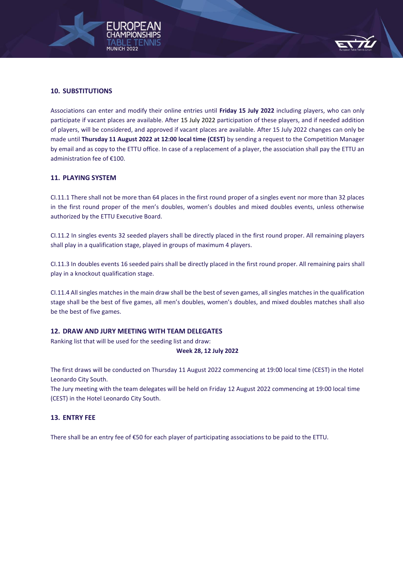



# **10. SUBSTITUTIONS**

Associations can enter and modify their online entries until **Friday 15 July 2022** including players, who can only participate if vacant places are available. After 15 July 2022 participation of these players, and if needed addition of players, will be considered, and approved if vacant places are available. After 15 July 2022 changes can only be made until **Thursday 11 August 2022 at 12:00 local time (CEST)** by sending a request to the Competition Manager by email and as copy to the ETTU office. In case of a replacement of a player, the association shall pay the ETTU an administration fee of €100.

# **11. PLAYING SYSTEM**

CI.11.1 There shall not be more than 64 places in the first round proper of a singles event nor more than 32 places in the first round proper of the men's doubles, women's doubles and mixed doubles events, unless otherwise authorized by the ETTU Executive Board.

CI.11.2 In singles events 32 seeded players shall be directly placed in the first round proper. All remaining players shall play in a qualification stage, played in groups of maximum 4 players.

CI.11.3 In doubles events 16 seeded pairs shall be directly placed in the first round proper. All remaining pairs shall play in a knockout qualification stage.

CI.11.4 All singles matches in the main draw shall be the best of seven games, all singles matches in the qualification stage shall be the best of five games, all men's doubles, women's doubles, and mixed doubles matches shall also be the best of five games.

# **12. DRAW AND JURY MEETING WITH TEAM DELEGATES**

Ranking list that will be used for the seeding list and draw:

#### **Week 28, 12 July 2022**

The first draws will be conducted on Thursday 11 August 2022 commencing at 19:00 local time (CEST) in the Hotel Leonardo City South.

The Jury meeting with the team delegates will be held on Friday 12 August 2022 commencing at 19:00 local time (CEST) in the Hotel Leonardo City South.

# **13. ENTRY FEE**

There shall be an entry fee of €50 for each player of participating associations to be paid to the ETTU.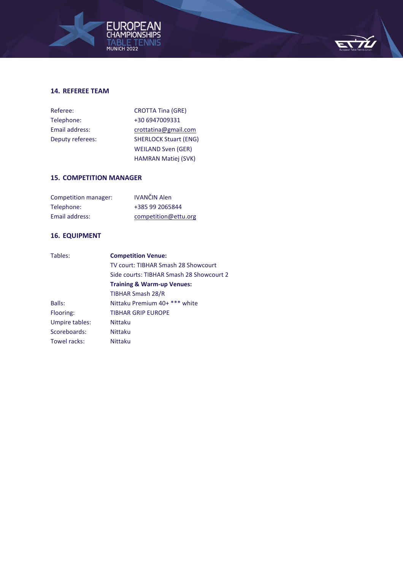



# **14. REFEREE TEAM**

| Referee:         | <b>CROTTA Tina (GRE)</b>     |
|------------------|------------------------------|
| Telephone:       | +30 6947009331               |
| Email address:   | crottatina@gmail.com         |
| Deputy referees: | <b>SHERLOCK Stuart (ENG)</b> |
|                  | <b>WEILAND Sven (GER)</b>    |
|                  | <b>HAMRAN Matiej (SVK)</b>   |

# **15. COMPETITION MANAGER**

| Competition manager: | <b>IVANČIN Alen</b>  |
|----------------------|----------------------|
| Telephone:           | +385 99 2065844      |
| Email address:       | competition@ettu.org |

# **16. EQUIPMENT**

| Tables:        | <b>Competition Venue:</b>                |
|----------------|------------------------------------------|
|                | TV court: TIBHAR Smash 28 Showcourt      |
|                | Side courts: TIBHAR Smash 28 Showcourt 2 |
|                | <b>Training &amp; Warm-up Venues:</b>    |
|                | <b>TIBHAR Smash 28/R</b>                 |
| Balls:         | Nittaku Premium 40+ *** white            |
| Flooring:      | <b>TIBHAR GRIP EUROPE</b>                |
| Umpire tables: | Nittaku                                  |
| Scoreboards:   | Nittaku                                  |
| Towel racks:   | <b>Nittaku</b>                           |
|                |                                          |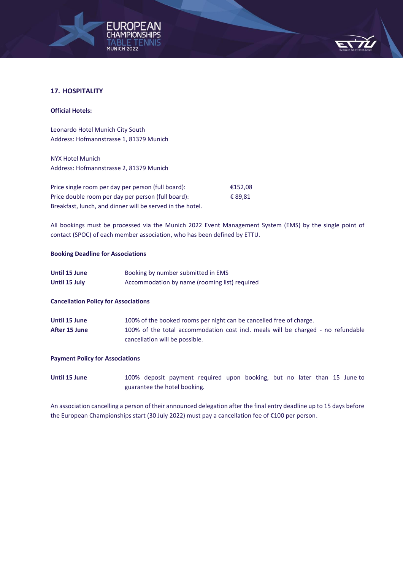



# **17. HOSPITALITY**

#### **Official Hotels:**

Leonardo Hotel Munich City South Address: Hofmannstrasse 1, 81379 Munich

NYX Hotel Munich Address: Hofmannstrasse 2, 81379 Munich

Price single room per day per person (full board): €152,08 Price double room per day per person (full board):  $\epsilon$  89,81 Breakfast, lunch, and dinner will be served in the hotel.

All bookings must be processed via the Munich 2022 Event Management System (EMS) by the single point of contact (SPOC) of each member association, who has been defined by ETTU.

#### **Booking Deadline for Associations**

| Until 15 June | Booking by number submitted in EMS            |
|---------------|-----------------------------------------------|
| Until 15 July | Accommodation by name (rooming list) required |

# **Cancellation Policy for Associations**

| Until 15 June | 100% of the booked rooms per night can be cancelled free of charge.              |
|---------------|----------------------------------------------------------------------------------|
| After 15 June | 100% of the total accommodation cost incl. meals will be charged - no refundable |
|               | cancellation will be possible.                                                   |

#### **Payment Policy for Associations**

Until 15 June 100% deposit payment required upon booking, but no later than 15 June to guarantee the hotel booking.

An association cancelling a person of their announced delegation after the final entry deadline up to 15 days before the European Championships start (30 July 2022) must pay a cancellation fee of €100 per person.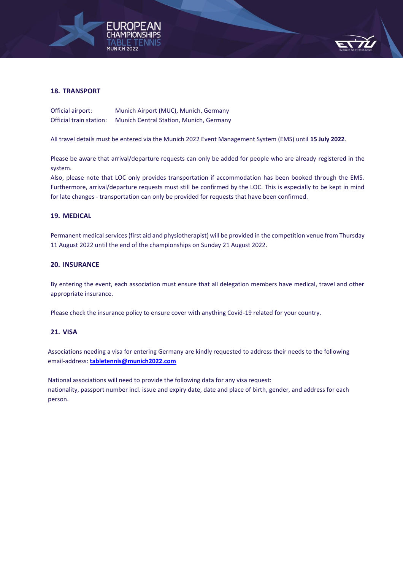



# **18. TRANSPORT**

| Official airport:       | Munich Airport (MUC), Munich, Germany   |
|-------------------------|-----------------------------------------|
| Official train station: | Munich Central Station, Munich, Germany |

All travel details must be entered via the Munich 2022 Event Management System (EMS) until **15 July 2022**.

Please be aware that arrival/departure requests can only be added for people who are already registered in the system.

Also, please note that LOC only provides transportation if accommodation has been booked through the EMS. Furthermore, arrival/departure requests must still be confirmed by the LOC. This is especially to be kept in mind for late changes - transportation can only be provided for requests that have been confirmed.

# **19. MEDICAL**

Permanent medical services (first aid and physiotherapist) will be provided in the competition venue from Thursday 11 August 2022 until the end of the championships on Sunday 21 August 2022.

#### **20. INSURANCE**

By entering the event, each association must ensure that all delegation members have medical, travel and other appropriate insurance.

Please check the insurance policy to ensure cover with anything Covid-19 related for your country.

# **21. VISA**

Association[s needing a visa for entering Germany](https://www.auswaertiges-amt.de/en/visa-service/visabestimmungen-node) are kindly requested to address their needs to the following email-address: **[tabletennis@munich2022.com](mailto:tabletennis@munich2022.com)**

National associations will need to provide the following data for any visa request: nationality, passport number incl. issue and expiry date, date and place of birth, gender, and address for each person.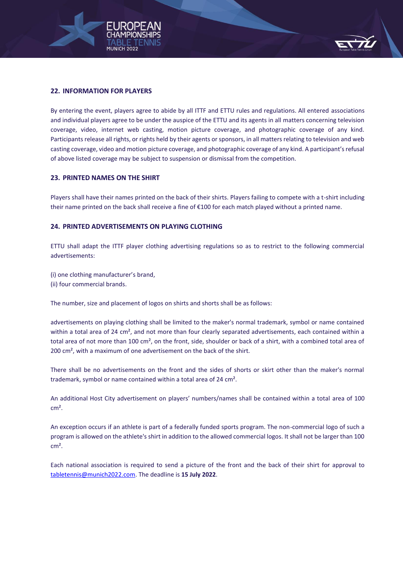



# **22. INFORMATION FOR PLAYERS**

By entering the event, players agree to abide by all ITTF and ETTU rules and regulations. All entered associations and individual players agree to be under the auspice of the ETTU and its agents in all matters concerning television coverage, video, internet web casting, motion picture coverage, and photographic coverage of any kind. Participants release all rights, or rights held by their agents or sponsors, in all matters relating to television and web casting coverage, video and motion picture coverage, and photographic coverage of any kind. A participant's refusal of above listed coverage may be subject to suspension or dismissal from the competition.

# **23. PRINTED NAMES ON THE SHIRT**

Players shall have their names printed on the back of their shirts. Players failing to compete with a t-shirt including their name printed on the back shall receive a fine of €100 for each match played without a printed name.

# **24. PRINTED ADVERTISEMENTS ON PLAYING CLOTHING**

ETTU shall adapt the ITTF player clothing advertising regulations so as to restrict to the following commercial advertisements:

(i) one clothing manufacturer's brand,

(ii) four commercial brands.

The number, size and placement of logos on shirts and shorts shall be as follows:

advertisements on playing clothing shall be limited to the maker's normal trademark, symbol or name contained within a total area of 24 cm², and not more than four clearly separated advertisements, each contained within a total area of not more than 100 cm², on the front, side, shoulder or back of a shirt, with a combined total area of 200 cm², with a maximum of one advertisement on the back of the shirt.

There shall be no advertisements on the front and the sides of shorts or skirt other than the maker's normal trademark, symbol or name contained within a total area of 24 cm².

An additional Host City advertisement on players' numbers/names shall be contained within a total area of 100 cm².

An exception occurs if an athlete is part of a federally funded sports program. The non-commercial logo of such a program is allowed on the athlete's shirt in addition to the allowed commercial logos. It shall not be larger than 100 cm².

Each national association is required to send a picture of the front and the back of their shirt for approval to [tabletennis@munich2022.com.](mailto:tabletennis@munich2022.com) The deadline is **15 July 2022**.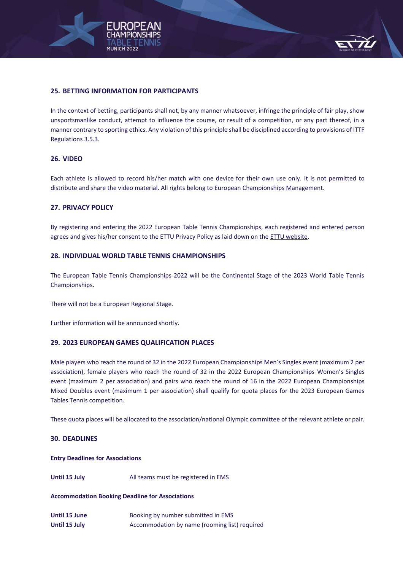



# **25. BETTING INFORMATION FOR PARTICIPANTS**

In the context of betting, participants shall not, by any manner whatsoever, infringe the principle of fair play, show unsportsmanlike conduct, attempt to influence the course, or result of a competition, or any part thereof, in a manner contrary to sporting ethics. Any violation of this principle shall be disciplined according to provisions of ITTF Regulations 3.5.3.

# **26. VIDEO**

Each athlete is allowed to record his/her match with one device for their own use only. It is not permitted to distribute and share the video material. All rights belong to European Championships Management.

# **27. PRIVACY POLICY**

By registering and entering the 2022 European Table Tennis Championships, each registered and entered person agrees and gives his/her consent to the ETTU Privacy Policy as laid down on the [ETTU website.](https://www.ettu.org/en/about-ettu/privacy-policy/)

# **28. INDIVIDUAL WORLD TABLE TENNIS CHAMPIONSHIPS**

The European Table Tennis Championships 2022 will be the Continental Stage of the 2023 World Table Tennis Championships.

There will not be a European Regional Stage.

Further information will be announced shortly.

# **29. 2023 EUROPEAN GAMES QUALIFICATION PLACES**

Male players who reach the round of 32 in the 2022 European Championships Men's Singles event (maximum 2 per association), female players who reach the round of 32 in the 2022 European Championships Women's Singles event (maximum 2 per association) and pairs who reach the round of 16 in the 2022 European Championships Mixed Doubles event (maximum 1 per association) shall qualify for quota places for the 2023 European Games Tables Tennis competition.

These quota places will be allocated to the association/national Olympic committee of the relevant athlete or pair.

# **30. DEADLINES**

#### **Entry Deadlines for Associations**

**Until 15 July** All teams must be registered in EMS

# **Accommodation Booking Deadline for Associations**

**Until 15 June Booking by number submitted in EMS Until 15 July <b>Accommodation** by name (rooming list) required